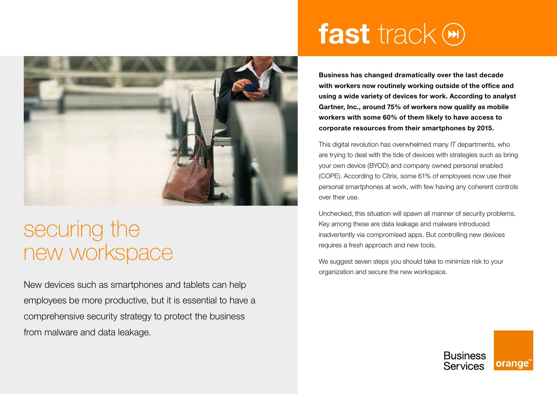

## securing the new workspace

New devices such as smartphones and tablets can help employees be more productive, but it is essential to have a comprehensive security strategy to protect the business from malware and data leakage.

# fast track  $$

**Business has changed dramatically over the last decade with workers now routinely working outside of the office and using a wide variety of devices for work. According to analyst Gartner, Inc., around 75% of workers now qualify as mobile workers with some 60% of them likely to have access to corporate resources from their smartphones by 2015.**

This digital revolution has overwhelmed many IT departments, who are trying to deal with the tide of devices with strategies such as bring your own device (BYOD) and company owned personal enabled (COPE). According to Citrix, some 61% of employees now use their personal smartphones at work, with few having any coherent controls over their use.

Unchecked, this situation will spawn all manner of security problems. Key among these are data leakage and malware introduced inadvertently via compromised apps. But controlling new devices requires a fresh approach and new tools.

We suggest seven steps you should take to minimize risk to your organization and secure the new workspace.